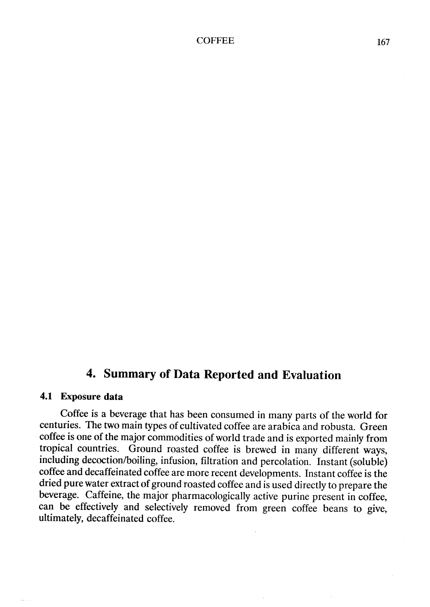# 4. Summary of Data Reported and Evaluation

#### 4.1 Exposure data

Coffee is a beverage that has been consumed in many parts of the world for centuries. The two main types of cultivated coffee are arabica and robusta. Green coffee is one of the major commodities of world trade and is exported mainly from tropical countries. Ground roasted coffee is brewed in many different ways, including decoction/boilng, infusion, filtration and percolation. Instant (soluble) coffee and decaffeinated coffee are more recent developments. Instant coffee is the dried pure water extract of ground roasted coffee and is used directly to prepare the beverage. Caffeine, the major pharmacologically active purine present in coffee, can be effectively and selectively removed from green coffee beans to give, ultimately, decaffeinated coffee.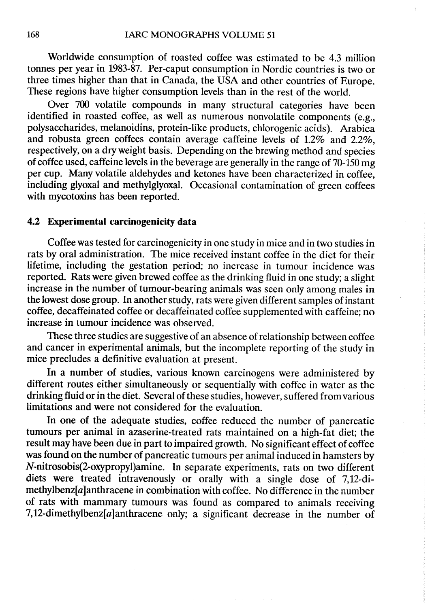Worldwide consumption of roasted coffee was estimated ta be 4.3 milion tonnes per year in 1983-87. Per-caput consumption in Nordic countries is two or three times higher than that in Canada, the USA and other countries of Europe. These regions have higher consumption levels than in the rest of the world.

Over 700 volatile compounds in many structural categories have been identified in roasted coffee, as well as numerous nonvolatile components (e.g., polysaccharides, melanoidins, protein-like products, chlorogenic acids). Arabica and robusta green coffees contain average caffeine levels of 1.2% and 2.2%, respectively, on a dry weight basis. Depending on the brewing method and species of coffee used, caffeine levels in the beverage are generally in the range of 70-150 mg per cup. Many volatile aldehydes and ketones have been characterized in coffee, including glyoxal and methylglyoxal. Occasional contamination of green coffees with mycotoxins has been reported.

#### 4.2 Experimental carcinogenicity data

Coffee was tested for carcinogenicity in one study in mice and in two studies in rats by oral administration. The mice received instant coffee in the diet for their lifetime, including the gestation period; no increase in tumour incidence was reported. Rats were given brewed coffee as the drinking fluid in one study; a slight increase in the number of tumour-bearing animals was seen only among males in the lowest dose group. ln another study, rats were given different samples of instant coffee, decaffeinated coffee or decaffeinated coffee supplemented with caffeine; no increase in tumour incidence was observed.

These three studies are suggestive of an absence of relationship between coffee and cancer in experimental animals, but the incomplete reporting of the study in mice precludes a definitive evaluation at present.

ln a number of studies, various known carcinogens were administered by different routes either simultaneously or sequentially with coffee in water as the drinking fluid or in the diet. Several of these studies, however, suffered from various limitations and were not considered for the evaluation.

ln one of the adequate studies, coffee reduced the number of pancreatic tumours per animal in azaserine-treated rats maintained on a high-fat diet; the result may have been due in part to impaired growth. No significant effect of coffee was found on the number of pancreatic tumours per animal induced in hamsters by N-nitrosobis(2-oxypropyl)amine. ln separate experiments, rats on two different diets were treated intravenously or orally with a single dose of 7,12-dimethylbenz $[a]$ anthracene in combination with coffee. No difference in the number of rats with mammary tumours was found as compared to animaIs receiving 7,12-dimethylbenz $[a]$ anthracene only; a significant decrease in the number of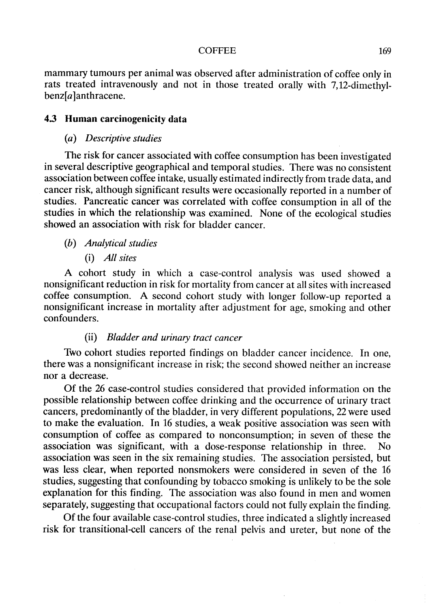#### COFFEE 169

mammary tumours per animal was observed after administration of coffee only in rats treated intravenously and not in those treated orally with 7,12-dimethyl $benz[a]$ anthracene.

## 4.3 Human carcinogenicity data

#### (a) Descriptive studies

The risk for cancer associated with coffee consumption has been investigated in several descriptive geographical and temporal studies. There was no consistent association between coffee intake, usually estimated indirectly from trade data, and cancer risk, although significant results were occasionally reported in a number of studies. Pancreatic cancer was correlated with coffee consumption in all of the studies in which the relationship was examined. None of the ecological studies showed an association with risk for bladder cancer.

# (h) Analytical studies

(i) AlI sites

A cohort study in which a case-control analysis was used showed a nonsignificant reduction in risk for mortality from cancer at aIl sites with increased coffee consumption. A second cohort study with longer follow-up reported a nonsignificant increase in mortality after adjustment for age, smoking and other confounders.

# (ii) Bladder and urinary tract cancer

Two cohort studies reported findings on bladder cancer incidence. ln one, there was a nonsignificant increase in risk; the second showed neither an increase nor a decrease.

Of the 26 case-control studies considered that provided information on the possible relationship between coffee drinking and the occurrence of urinary tract cancers, predominantly of the bladder, in very different populations, 22 were used to make the evaluation. ln 16 studies, a weak positive association was seen with consumption of coffee as compared to nonconsumption; in seven of these the association was significant, with a dose-response relationship in three. No association was seen in the six remaining studies. The association persisted, but was less clear, when reported nonsmokers were considered in seven of the 16 studies, suggesting that confounding by tobacco smoking is unlikely to be the sole explanation for this finding. The association was also found in men and women separately, suggesting that occupational factors could not fully explain the finding.

Of the four available case-control studies, three indicated a slightly increased risk for transitional-cell cancers of the renal pelvis and ureter, but none of the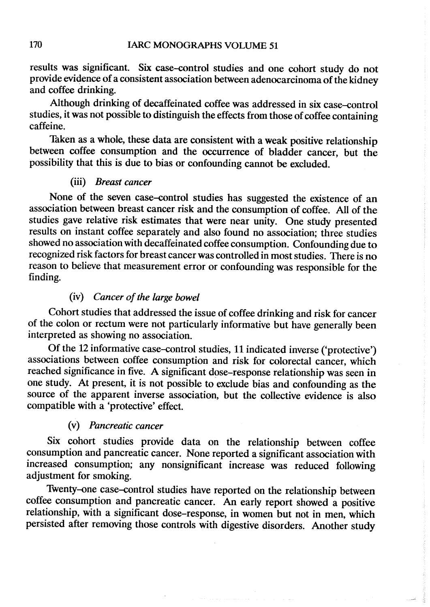results was significant. Six case-cntrol studies and one cohort study do not provide evidence of a consistent association between adenocarcinoma of the kidney and coffee drinking.

Although drinking of decaffeinated coffee was addressed in six case-cntrol studies, it was not possible to distinguish the effects from those of coffee containing caffeine.

Taken as a whole, these data are consistent with a weak positive relationship between coffee consumption and the ocurrence of bladder cancer, but the possibility that this is due to bias or confounding cannot be excluded.

# (ii) Breast cancer

None of the seven case-cntrol studies has suggested the existence of an association between breast cancer risk and the consumption of coffee. AlI of the studies gave relative risk estimates that were near unity. One study presented results on instant coffee separately and also found no association; three studies showed no association with decaffeinated coffee consumption. Confounding due to recognized risk factors for breast cancer was controlled in most studies. There is no reason to believe that measurement error or confounding was responsible for the finding.

# (iv) Cancer of the large bowel

Cohort studies that addressed the issue of coffee drinking and risk for cancer of the colon or rectum were not particularly informative but have generally been interpreted as showing no association.

Of the 12 informative case-cntrol studies, Il indicated inverse ('protective') associations between coffee consumption and risk for colorectal cancer, which reached significance in five. A significant dose-response relationship was seen in one study. At present, it is not possible to exclude bias and confounding as the source of the apparent inverse association, but the collective evidence is also compatible with a 'protective' effect.

#### (v) Pancreatic cancer

Six cohort studies provide data on the relationship between coffee consumption and pancreatic cancer. None reported a significant association with increased consumption; any nonsignificant increase was reduced following adjustment for smoking.

Twenty-one case-cntrol studies have reported on the relationship between coffee consumption and pancreatic cancer. An early report showed a positive relationship, with a significant dose-response, in women but not in men, which persisted after removing those controls with digestive disorders. Another study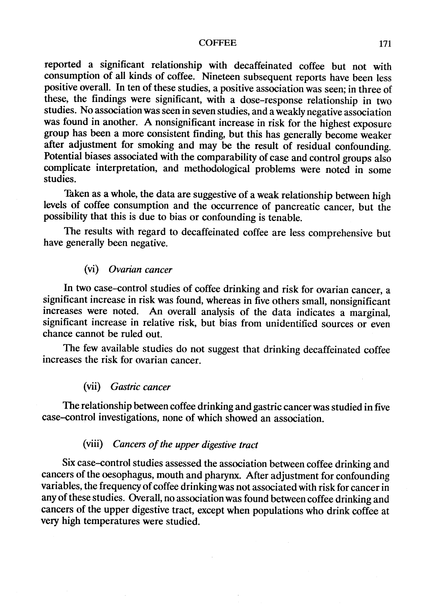#### COFFEE 171

reported a significant relationship with decaffeinated coffee but not with consumption of all kinds of coffee. Nineteen subsequent reports have been less positive overall. ln ten of these studies, a positive association was seen; in three of these, the findings were significant, with a dose-response relationship in two studies. No association was seen in seven studies, and a weakly negative association was found in another. A nonsignificant increase in risk for the highest exposure group has been a more consistent finding, but this has generally become weaker after adjustment for smoking and may be the result of residual confounding. Potential biases associated with the comparability of case and control groups also complicate interpretation, and methodological problems were noted in some studies.

Taken as a whole, the data are suggestive of a weak relationship between high levels of coffee consumption and the ocurrence of pancreatic cancer, but the possibilty that this is due to bias or confounding is tenable.

The results with regard to decaffeinated coffee are less comprehensive but have generally been negative.

#### (vi) Ovarian cancer

ln two case-cntrol studies of coffee drinking and risk for ovarian cancer, a significant increase in risk was found, whereas in five others small, nonsignificant increases were noted. An overall analysis of the data indicates a marginal, significant increase in relative risk, but bias from unidentitìed sources or even chance cannot be ruled out.

The few available studies do not suggest that drinking decaffeinated coffee increases the risk for ovarian cancer.

#### (vii) Gastric cancer

The relationship between coffee drinking and gastric cancer was studied in five case-cntrol investigations, none of which showed an association.

# (viii) Cancers of the upper digestive tract

Six case-cntrol studies assessed the association between coffee drinking and cancers of the oesophagus, mouth and pharynx. After adjustment for confounding variables, the frequency of coffee drinkingwas not associated with risk for cancer in any of these studies. Overall, no association was found between coffee drinking and cancers of the upper digestive tract, except when populations who drink coffee at very high temperatures were studied.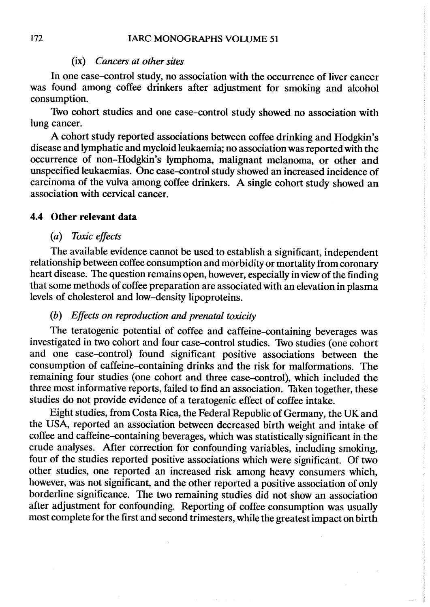#### (ix) Cancers at other sites

ln one case-cntrol study, no association with the ocurrence of liver cancer was found among coffee drinkers after adjustment for smoking and alcohol consumption.

Two cohort studies and one case-cntrol study showed no association with lung cancer.

A cohort study reported associations between coffee drinking and Hodgkin's disease and lymphatic and myeloid leukaemia; no association was reported with the ocurrence of non-Hodgkin's lymphoma, malignant melanoma, or other and unspecified leukaemias. One case-cntrol study showed an increased incidence of carcinoma of the vulva among coffee drinkers. A single cohort study showed an association with cervical cancer.

#### 4.4 Other relevant data

#### (a) Toxic effects

The available evidence cannot be used to establish a significant, independent relationship between coffee consumption and morbidity or mortality from coronary heart disease. The question remains open, however, especially in view of the finding that some methods of coffee preparation are associated with an elevation in plasma levels of cholesterol and low-density lipoproteins.

# (h) Effects on reproduction and prenatal toxicity

The teratogenic potential of coffee and caffeine-cntaining beverages was investigated in two cohort and four case-control studies. Two studies (one cohort and one case-control) found significant positive associations between the consumption of caffeine-cntaining drinks and the risk for malformations. The remaining four studies (one cohort and three case-control), which included the three most informative reports, failed to find an association. Taken together, these studies do not provide evidence of a teratogenic effect of coffee intake.

Eight studies, from Costa Rica, the Federal Republic of Germany, the UK and the USA, reported an association between decreased birth weight and intake of coffee and caffeine-containing beverages, which was statistically significant in the crude analyses. After correction for confounding variables, including smoking, four of the studies reported positive associations which were significant. Of two other studies, one reported an increased risk among heavy consumers which, however, was not significant, and the other reported a positive association of only borderline significance. The two remaining studies did not show an association after adjustment for confounding. Reporting of coffee consumption was usually most complete for the first and second trimesters, while the greatest impact on birth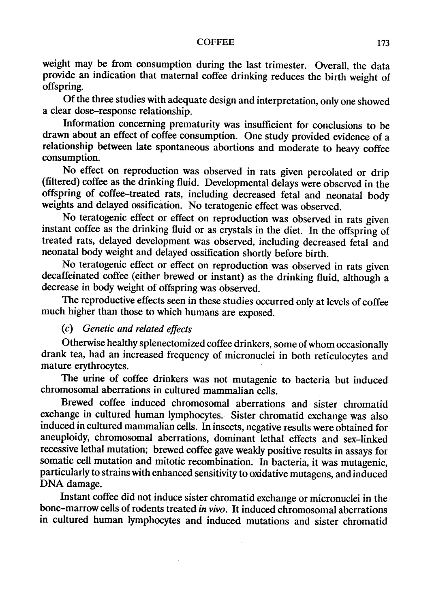#### COFFEE 173

weight may be from consumption during the last trimester. Overall, the data provide an indication that maternal coffee drinking reduces the birth weight of offspring.

Of the three studies with adequate design and interpretation, only one showed a clear dose-response relationship.

Information conceming prematurity was insufficient for conclusions to be drawn about an effect of coffee consumption. One study provided evidence of a relationship between late spontaneous abortions and moderate to heavy coffee consumption.

No effect on reproduction was observed in rats given percolated or drip (filtered) coffee as the drinking fluid. Developmental delays were observed in the offspring of coffee-treated rats, including decreased fetal and neonatal body weights and delayed ossification. No teratogenic effect was observed.

No teratogenic effect or effect on reproduction was observed in rats given instant coffee as the drinking fluid or as crystals in the diet. In the offspring of treated rats, delayed development was observed, including decreased fetal and neonatal body weight and delayed ossification shortly before birth.

No teratogenic effect or effect on reproduction was observed in rats given decaffeinated coffee (either brewed or instant) as the drinking fluid, although a decrease in body weight of offspring was observed.

The reproductive effects seen in these studies ocurred only at levels of coffee much higher than those to which humans are exposed.

# (c) Genetic and related effects

Otherwise healthy splenectomized coffee drinkers, some of whom occasionally drank tea, had an increased frequency of micronuclei in both reticulocytes and mature eryhrocytes.

The urine of coffee drinkers was not mutagenic to bacteria but induced chromosomal aberrations in cultured mammalian cells.

Brewed coffee induced chromosomal aberrations and sister chromatid exchange in cultured human lymphocytes. Sister chromatid exchange was also induced in cultured mammalian cells. ln insects, negative results were obtained for aneuploidy, chromosomal aberrations, dominant lethal effects and sex-linked recessive lethal mutation; brewed coffee gave weakly positive results in assays for somatic cell mutation and mitotic recombination. In bacteria, it was mutagenic, particularly to strains with enhanced sensitivity to oxidative mutagens, and induced DNA damage.

Instant coffee did not induce sis ter chromatid exchange or micronuclei in the bone-marrow cells of rodents treated in vivo. It induced chromosomal aberrations in cultured human lymphocytes and induced mutations and sister chromatid